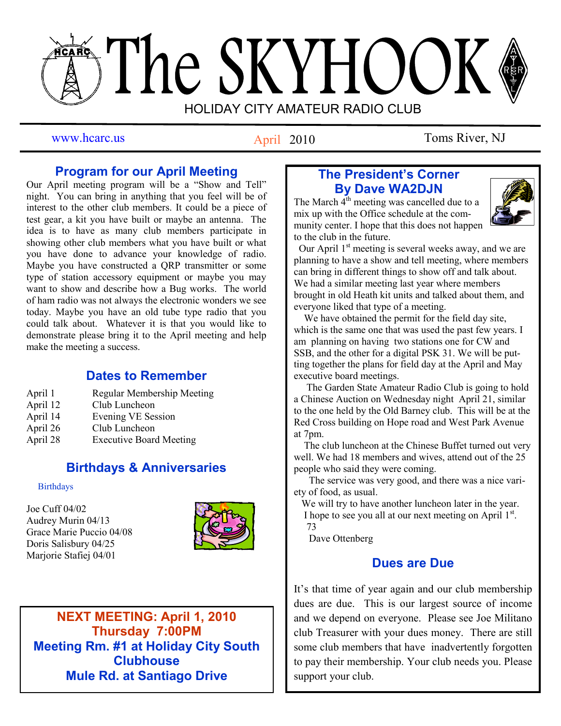# The SKYHOOK HOLIDAY CITY AMATEUR RADIO CLUB

April 2010

www.hcarc.us **Antil 2010** Toms River, NJ

# **Program for our April Meeting**

Our April meeting program will be a "Show and Tell" night. You can bring in anything that you feel will be of interest to the other club members. It could be a piece of test gear, a kit you have built or maybe an antenna. The idea is to have as many club members participate in showing other club members what you have built or what you have done to advance your knowledge of radio. Maybe you have constructed a QRP transmitter or some type of station accessory equipment or maybe you may want to show and describe how a Bug works. The world of ham radio was not always the electronic wonders we see today. Maybe you have an old tube type radio that you could talk about. Whatever it is that you would like to demonstrate please bring it to the April meeting and help make the meeting a success.

# **Dates to Remember**

| April 1  | <b>Regular Membership Meeting</b> |
|----------|-----------------------------------|
| April 12 | Club Luncheon                     |
| April 14 | <b>Evening VE Session</b>         |
| April 26 | Club Luncheon                     |
| April 28 | <b>Executive Board Meeting</b>    |
|          |                                   |

# **Birthdays & Anniversaries**

### **Birthdays**

Joe Cuff 04/02 Audrey Murin 04/13 Grace Marie Puccio 04/08 Doris Salisbury 04/25 Marjorie Stafiej 04/01



**NEXT MEETING: April 1, 2010 Thursday 7:00PM Meeting Rm. #1 at Holiday City South Clubhouse Mule Rd. at Santiago Drive**

# **The President's Corner By Dave WA2DJN**

The March  $4^{th}$  meeting was cancelled due to a mix up with the Office schedule at the community center. I hope that this does not happen to the club in the future.



Our April  $1<sup>st</sup>$  meeting is several weeks away, and we are planning to have a show and tell meeting, where members can bring in different things to show off and talk about. We had a similar meeting last year where members brought in old Heath kit units and talked about them, and everyone liked that type of a meeting.

 We have obtained the permit for the field day site, which is the same one that was used the past few years. I am planning on having two stations one for CW and SSB, and the other for a digital PSK 31. We will be putting together the plans for field day at the April and May executive board meetings.

 The Garden State Amateur Radio Club is going to hold a Chinese Auction on Wednesday night April 21, similar to the one held by the Old Barney club. This will be at the Red Cross building on Hope road and West Park Avenue at 7pm.

 The club luncheon at the Chinese Buffet turned out very well. We had 18 members and wives, attend out of the 25 people who said they were coming.

 The service was very good, and there was a nice variety of food, as usual.

We will try to have another luncheon later in the year. I hope to see you all at our next meeting on April 1<sup>st</sup>. 73

Dave Ottenberg

# **Dues are Due**

It's that time of year again and our club membership dues are due. This is our largest source of income and we depend on everyone. Please see Joe Militano club Treasurer with your dues money. There are still some club members that have inadvertently forgotten to pay their membership. Your club needs you. Please support your club.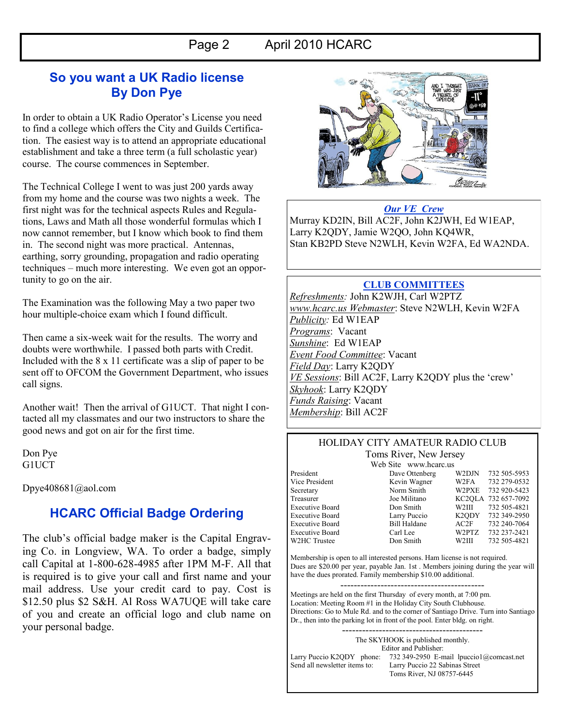## **So you want a UK Radio license By Don Pye**

In order to obtain a UK Radio Operator"s License you need to find a college which offers the City and Guilds Certification. The easiest way is to attend an appropriate educational establishment and take a three term (a full scholastic year) course. The course commences in September.

The Technical College I went to was just 200 yards away from my home and the course was two nights a week. The first night was for the technical aspects Rules and Regulations, Laws and Math all those wonderful formulas which I now cannot remember, but I know which book to find them in. The second night was more practical. Antennas, earthing, sorry grounding, propagation and radio operating techniques – much more interesting. We even got an opportunity to go on the air.

The Examination was the following May a two paper two hour multiple-choice exam which I found difficult.

Then came a six-week wait for the results. The worry and doubts were worthwhile. I passed both parts with Credit. Included with the 8 x 11 certificate was a slip of paper to be sent off to OFCOM the Government Department, who issues call signs.

Another wait! Then the arrival of G1UCT. That night I contacted all my classmates and our two instructors to share the good news and got on air for the first time.

Don Pye G1UCT

Dpye408681@aol.com

# **HCARC Official Badge Ordering**

The club"s official badge maker is the Capital Engraving Co. in Longview, WA. To order a badge, simply call Capital at 1-800-628-4985 after 1PM M-F. All that is required is to give your call and first name and your mail address. Use your credit card to pay. Cost is \$12.50 plus \$2 S&H. Al Ross WA7UQE will take care of you and create an official logo and club name on your personal badge.



## *Our VE Crew*

Murray KD2IN, Bill AC2F, John K2JWH, Ed W1EAP, Larry K2QDY, Jamie W2QO, John KQ4WR, Stan KB2PD Steve N2WLH, Kevin W2FA, Ed WA2NDA.

## **CLUB COMMITTEES**

*Refreshments:* John K2WJH, Carl W2PTZ *www.hcarc.us Webmaster*: Steve N2WLH, Kevin W2FA *Publicity:* Ed W1EAP *Programs*: Vacant *Sunshine*: Ed W1EAP *Event Food Committee*: Vacant *Field Day*: Larry K2QDY *VE Sessions*: Bill AC2F, Larry K2QDY plus the 'crew' *Skyhook*: Larry K2QDY *Funds Raising*: Vacant *Membership*: Bill AC2F

#### HOLIDAY CITY AMATEUR RADIO CLUB Toms River, New Jersey

Web Site www.hcarc.us<br>Dave Ottenberg President Dave Ottenberg W2DJN 732 505-5953

| Vice President         | Kevin Wagner        | W2FA  | 732 279-0532        |
|------------------------|---------------------|-------|---------------------|
| Secretary              | Norm Smith          | W2PXE | 732 920-5423        |
| Treasurer              | Joe Militano        |       | KC2OLA 732 657-7092 |
| <b>Executive Board</b> | Don Smith           | W2III | 732 505-4821        |
| <b>Executive Board</b> | Larry Puccio        |       | K2ODY 732 349-2950  |
| <b>Executive Board</b> | <b>Bill Haldane</b> | AC2F  | 732 240-7064        |
| <b>Executive Board</b> | Carl Lee            | W2PTZ | 732 237-2421        |
| W2HC Trustee           | Don Smith           | W2III | 732 505-4821        |

Membership is open to all interested persons. Ham license is not required. Dues are \$20.00 per year, payable Jan. 1st . Members joining during the year will have the dues prorated. Family membership \$10.00 additional.

------------------------------------------- Meetings are held on the first Thursday of every month, at 7:00 pm. Location: Meeting Room #1 in the Holiday City South Clubhouse. Directions: Go to Mule Rd. and to the corner of Santiago Drive. Turn into Santiago Dr., then into the parking lot in front of the pool. Enter bldg. on right.

The SKYHOOK is published monthly. Editor and Publisher: Larry Puccio K2QDY phone: 732 349-2950 E-mail lpuccio1@comcast.net<br>Send all newsletter items to: Larry Puccio 22 Sabinas Street Larry Puccio 22 Sabinas Street Toms River, NJ 08757-6445

------------------------------------------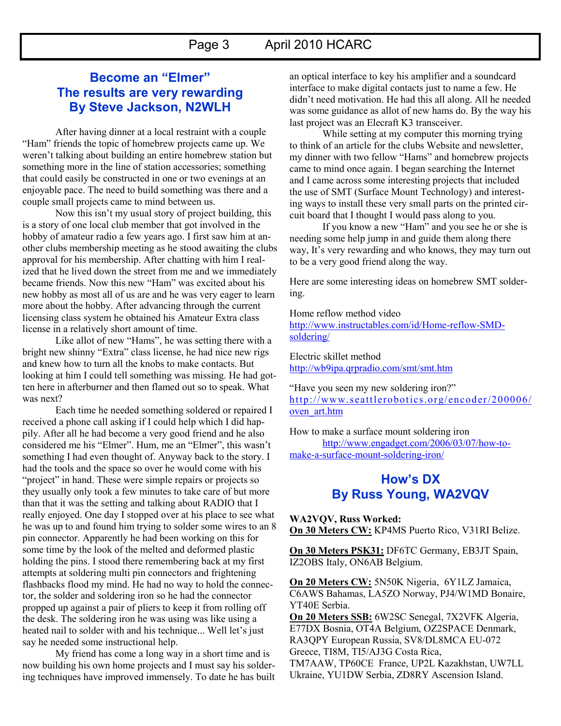# Page 3 April 2010 HCARC

## **Become an "Elmer" The results are very rewarding By Steve Jackson, N2WLH**

After having dinner at a local restraint with a couple "Ham" friends the topic of homebrew projects came up. We weren't talking about building an entire homebrew station but something more in the line of station accessories; something that could easily be constructed in one or two evenings at an enjoyable pace. The need to build something was there and a couple small projects came to mind between us.

Now this isn't my usual story of project building, this is a story of one local club member that got involved in the hobby of amateur radio a few years ago. I first saw him at another clubs membership meeting as he stood awaiting the clubs approval for his membership. After chatting with him I realized that he lived down the street from me and we immediately became friends. Now this new "Ham" was excited about his new hobby as most all of us are and he was very eager to learn more about the hobby. After advancing through the current licensing class system he obtained his Amateur Extra class license in a relatively short amount of time.

Like allot of new "Hams", he was setting there with a bright new shinny "Extra" class license, he had nice new rigs and knew how to turn all the knobs to make contacts. But looking at him I could tell something was missing. He had gotten here in afterburner and then flamed out so to speak. What was next?

Each time he needed something soldered or repaired I received a phone call asking if I could help which I did happily. After all he had become a very good friend and he also considered me his "Elmer". Hum, me an "Elmer", this wasn"t something I had even thought of. Anyway back to the story. I had the tools and the space so over he would come with his "project" in hand. These were simple repairs or projects so they usually only took a few minutes to take care of but more than that it was the setting and talking about RADIO that I really enjoyed. One day I stopped over at his place to see what he was up to and found him trying to solder some wires to an 8 pin connector. Apparently he had been working on this for some time by the look of the melted and deformed plastic holding the pins. I stood there remembering back at my first attempts at soldering multi pin connectors and frightening flashbacks flood my mind. He had no way to hold the connector, the solder and soldering iron so he had the connector propped up against a pair of pliers to keep it from rolling off the desk. The soldering iron he was using was like using a heated nail to solder with and his technique... Well let's just say he needed some instructional help.

My friend has come a long way in a short time and is now building his own home projects and I must say his soldering techniques have improved immensely. To date he has built an optical interface to key his amplifier and a soundcard interface to make digital contacts just to name a few. He didn"t need motivation. He had this all along. All he needed was some guidance as allot of new hams do. By the way his last project was an Elecraft K3 transceiver.

While setting at my computer this morning trying to think of an article for the clubs Website and newsletter, my dinner with two fellow "Hams" and homebrew projects came to mind once again. I began searching the Internet and I came across some interesting projects that included the use of SMT (Surface Mount Technology) and interesting ways to install these very small parts on the printed circuit board that I thought I would pass along to you.

If you know a new "Ham" and you see he or she is needing some help jump in and guide them along there way, It's very rewarding and who knows, they may turn out to be a very good friend along the way.

Here are some interesting ideas on homebrew SMT soldering.

#### Home reflow method video

[http://www.instructables.com/id/Home-reflow-SMD](http://www.instructables.com/id/Home-reflow-SMD-soldering/)[soldering/](http://www.instructables.com/id/Home-reflow-SMD-soldering/)

Electric skillet method <http://wb9ipa.qrpradio.com/smt/smt.htm>

"Have you seen my new soldering iron?" [http://www.seattlerobotics.org/encoder/200006/](http://www.seattlerobotics.org/encoder/200006/oven_art.htm) [oven\\_art.htm](http://www.seattlerobotics.org/encoder/200006/oven_art.htm)

How to make a surface mount soldering iron [http://www.engadget.com/2006/03/07/how-to](http://www.engadget.com/2006/03/07/how-to-make-a-surface-mount-soldering-iron/)[make-a-surface-mount-soldering-iron/](http://www.engadget.com/2006/03/07/how-to-make-a-surface-mount-soldering-iron/)

## **How's DX By Russ Young, WA2VQV**

**WA2VQV, Russ Worked: On 30 Meters CW:** KP4MS Puerto Rico, V31RI Belize.

**On 30 Meters PSK31:** DF6TC Germany, EB3JT Spain, IZ2OBS Italy, ON6AB Belgium.

**On 20 Meters CW:** 5N50K Nigeria, 6Y1LZ Jamaica, C6AWS Bahamas, LA5ZO Norway, PJ4/W1MD Bonaire, YT40E Serbia.

**On 20 Meters SSB:** 6W2SC Senegal, 7X2VFK Algeria, E77DX Bosnia, OT4A Belgium, OZ2SPACE Denmark, RA3QPY European Russia, SV8/DL8MCA EU-072 Greece, TI8M, TI5/AJ3G Costa Rica,

TM7AAW, TP60CE France, UP2L Kazakhstan, UW7LL Ukraine, YU1DW Serbia, ZD8RY Ascension Island.